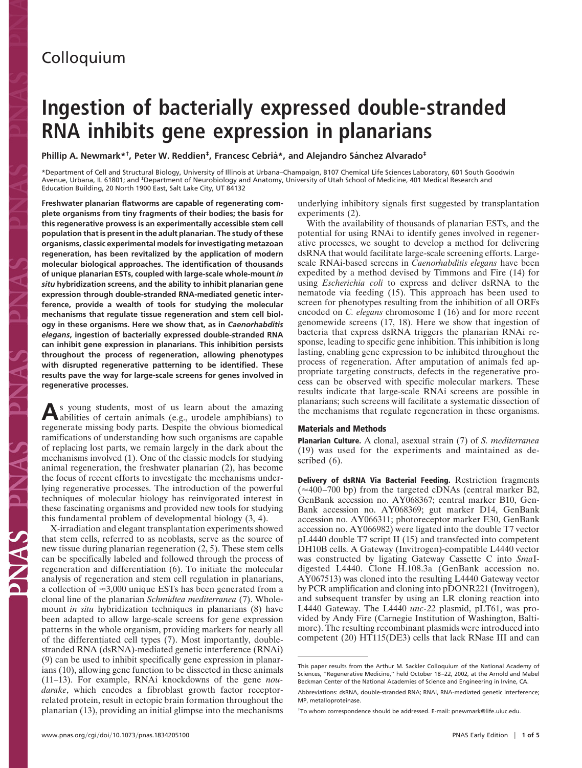# **Colloquium**

# **Ingestion of bacterially expressed double-stranded RNA inhibits gene expression in planarians**

Phillip A. Newmark\*<sup>†</sup>, Peter W. Reddien<sup>‡</sup>, Francesc Cebria<sup>\*</sup>, and Alejandro Sánchez Alvarado<sup>‡</sup>

\*Department of Cell and Structural Biology, University of Illinois at Urbana–Champaign, B107 Chemical Life Sciences Laboratory, 601 South Goodwin Avenue, Urbana, IL 61801; and ‡Department of Neurobiology and Anatomy, University of Utah School of Medicine, 401 Medical Research and Education Building, 20 North 1900 East, Salt Lake City, UT 84132

**Freshwater planarian flatworms are capable of regenerating complete organisms from tiny fragments of their bodies; the basis for this regenerative prowess is an experimentally accessible stem cell population that is present in the adult planarian. The study of these organisms, classic experimental models for investigating metazoan regeneration, has been revitalized by the application of modern molecular biological approaches. The identification of thousands of unique planarian ESTs, coupled with large-scale whole-mount** *in situ* **hybridization screens, and the ability to inhibit planarian gene expression through double-stranded RNA-mediated genetic interference, provide a wealth of tools for studying the molecular mechanisms that regulate tissue regeneration and stem cell biology in these organisms. Here we show that, as in** *Caenorhabditis elegans***, ingestion of bacterially expressed double-stranded RNA can inhibit gene expression in planarians. This inhibition persists throughout the process of regeneration, allowing phenotypes with disrupted regenerative patterning to be identified. These results pave the way for large-scale screens for genes involved in regenerative processes.**

**A**s young students, most of us learn about the amazing<br>abilities of certain animals (e.g. urodele amphibians) to abilities of certain animals (e.g., urodele amphibians) to regenerate missing body parts. Despite the obvious biomedical ramifications of understanding how such organisms are capable of replacing lost parts, we remain largely in the dark about the mechanisms involved (1). One of the classic models for studying animal regeneration, the freshwater planarian (2), has become the focus of recent efforts to investigate the mechanisms underlying regenerative processes. The introduction of the powerful techniques of molecular biology has reinvigorated interest in these fascinating organisms and provided new tools for studying this fundamental problem of developmental biology (3, 4).

X-irradiation and elegant transplantation experiments showed that stem cells, referred to as neoblasts, serve as the source of new tissue during planarian regeneration (2, 5). These stem cells can be specifically labeled and followed through the process of regeneration and differentiation (6). To initiate the molecular analysis of regeneration and stem cell regulation in planarians, a collection of  $\approx$ 3,000 unique ESTs has been generated from a clonal line of the planarian *Schmidtea mediterranea* (7). Wholemount *in situ* hybridization techniques in planarians (8) have been adapted to allow large-scale screens for gene expression patterns in the whole organism, providing markers for nearly all of the differentiated cell types (7). Most importantly, doublestranded RNA (dsRNA)-mediated genetic interference (RNAi) (9) can be used to inhibit specifically gene expression in planarians (10), allowing gene function to be dissected in these animals (11–13). For example, RNAi knockdowns of the gene *noudarake*, which encodes a fibroblast growth factor receptorrelated protein, result in ectopic brain formation throughout the planarian (13), providing an initial glimpse into the mechanisms

underlying inhibitory signals first suggested by transplantation experiments (2).

With the availability of thousands of planarian ESTs, and the potential for using RNAi to identify genes involved in regenerative processes, we sought to develop a method for delivering dsRNA that would facilitate large-scale screening efforts. Largescale RNAi-based screens in *Caenorhabditis elegans* have been expedited by a method devised by Timmons and Fire (14) for using *Escherichia coli* to express and deliver dsRNA to the nematode via feeding (15). This approach has been used to screen for phenotypes resulting from the inhibition of all ORFs encoded on *C. elegans* chromosome I (16) and for more recent genomewide screens (17, 18). Here we show that ingestion of bacteria that express dsRNA triggers the planarian RNAi response, leading to specific gene inhibition. This inhibition is long lasting, enabling gene expression to be inhibited throughout the process of regeneration. After amputation of animals fed appropriate targeting constructs, defects in the regenerative process can be observed with specific molecular markers. These results indicate that large-scale RNAi screens are possible in planarians; such screens will facilitate a systematic dissection of the mechanisms that regulate regeneration in these organisms.

## **Materials and Methods**

**Planarian Culture.** A clonal, asexual strain (7) of *S. mediterranea* (19) was used for the experiments and maintained as described  $(6)$ .

**Delivery of dsRNA Via Bacterial Feeding.** Restriction fragments  $(*400-700$  bp) from the targeted cDNAs (central marker B2, GenBank accession no. AY068367; central marker B10, Gen-Bank accession no. AY068369; gut marker D14, GenBank accession no. AY066311; photoreceptor marker E30, GenBank accession no. AY066982) were ligated into the double T7 vector pL4440 double T7 script II (15) and transfected into competent DH10B cells. A Gateway (Invitrogen)-compatible L4440 vector was constructed by ligating Gateway Cassette C into *Sma*Idigested L4440. Clone H.108.3a (GenBank accession no. AY067513) was cloned into the resulting L4440 Gateway vector by PCR amplification and cloning into pDONR221 (Invitrogen), and subsequent transfer by using an LR cloning reaction into L4440 Gateway. The L4440 *unc-22* plasmid, pLT61, was provided by Andy Fire (Carnegie Institution of Washington, Baltimore). The resulting recombinant plasmids were introduced into competent (20) HT115(DE3) cells that lack RNase III and can

This paper results from the Arthur M. Sackler Colloquium of the National Academy of Sciences, ''Regenerative Medicine,'' held October 18–22, 2002, at the Arnold and Mabel Beckman Center of the National Academies of Science and Engineering in Irvine, CA.

Abbreviations: dsRNA, double-stranded RNA; RNAi, RNA-mediated genetic interference; MP, metalloproteinase.

<sup>†</sup>To whom correspondence should be addressed. E-mail: pnewmark@life.uiuc.edu.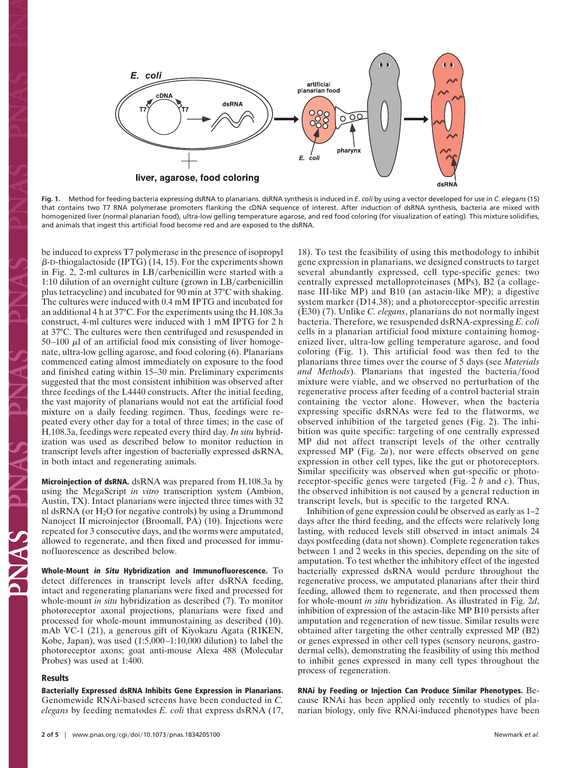

**Fig. 1.** Method for feeding bacteria expressing dsRNA to planarians. dsRNA synthesis is induced in *E. coli* by using a vector developed for use in *C. elegans* (15) that contains two T7 RNA polymerase promoters flanking the cDNA sequence of interest. After induction of dsRNA synthesis, bacteria are mixed with homogenized liver (normal planarian food), ultra-low gelling temperature agarose, and red food coloring (for visualization of eating). This mixture solidifies, and animals that ingest this artificial food become red and are exposed to the dsRNA.

be induced to express T7 polymerase in the presence of isopropyl  $\beta$ -D-thiogalactoside (IPTG) (14, 15). For the experiments shown in Fig. 2, 2-ml cultures in  $LB/c$ arbenicillin were started with a 1:10 dilution of an overnight culture (grown in  $LB/carbenicillin$ ) plus tetracycline) and incubated for 90 min at 37°C with shaking. The cultures were induced with 0.4 mM IPTG and incubated for an additional 4 h at 37°C. For the experiments using the H.108.3a construct, 4-ml cultures were induced with 1 mM IPTG for 2 h at 37°C. The cultures were then centrifuged and resuspended in  $50-100 \mu l$  of an artificial food mix consisting of liver homogenate, ultra-low gelling agarose, and food coloring (6). Planarians commenced eating almost immediately on exposure to the food and finished eating within 15–30 min. Preliminary experiments suggested that the most consistent inhibition was observed after three feedings of the L4440 constructs. After the initial feeding, the vast majority of planarians would not eat the artificial food mixture on a daily feeding regimen. Thus, feedings were repeated every other day for a total of three times; in the case of H.108.3a, feedings were repeated every third day. *In situ* hybridization was used as described below to monitor reduction in transcript levels after ingestion of bacterially expressed dsRNA, in both intact and regenerating animals.

**Microinjection of dsRNA.** dsRNA was prepared from H.108.3a by using the MegaScript *in vitro* transcription system (Ambion, Austin, TX). Intact planarians were injected three times with 32 nl dsRNA (or H2O for negative controls) by using a Drummond Nanoject II microinjector (Broomall, PA) (10). Injections were repeated for 3 consecutive days, and the worms were amputated, allowed to regenerate, and then fixed and processed for immunofluorescence as described below.

**Whole-Mount in Situ Hybridization and Immunofluorescence.** To detect differences in transcript levels after dsRNA feeding, intact and regenerating planarians were fixed and processed for whole-mount *in situ* hybridization as described (7). To monitor photoreceptor axonal projections, planarians were fixed and processed for whole-mount immunostaining as described (10). mAb VC-1 (21), a generous gift of Kiyokazu Agata (RIKEN, Kobe, Japan), was used (1:5,000–1:10,000 dilution) to label the photoreceptor axons; goat anti-mouse Alexa 488 (Molecular Probes) was used at 1:400.

#### **Results**

**Bacterially Expressed dsRNA Inhibits Gene Expression in Planarians.** Genomewide RNAi-based screens have been conducted in *C. elegans* by feeding nematodes *E. coli* that express dsRNA (17,

18). To test the feasibility of using this methodology to inhibit gene expression in planarians, we designed constructs to target several abundantly expressed, cell type-specific genes: two centrally expressed metalloproteinases (MPs), B2 (a collagenase III-like MP) and B10 (an astacin-like MP); a digestive system marker (D14.38); and a photoreceptor-specific arrestin (E30) (7). Unlike *C. elegans*, planarians do not normally ingest bacteria. Therefore, we resuspended dsRNA-expressing *E. coli* cells in a planarian artificial food mixture containing homogenized liver, ultra-low gelling temperature agarose, and food coloring (Fig. 1). This artificial food was then fed to the planarians three times over the course of 5 days (see *Materials and Methods*). Planarians that ingested the bacteria/food mixture were viable, and we observed no perturbation of the regenerative process after feeding of a control bacterial strain containing the vector alone. However, when the bacteria expressing specific dsRNAs were fed to the flatworms, we observed inhibition of the targeted genes (Fig. 2). The inhibition was quite specific: targeting of one centrally expressed MP did not affect transcript levels of the other centrally expressed MP (Fig. 2*a*), nor were effects observed on gene expression in other cell types, like the gut or photoreceptors. Similar specificity was observed when gut-specific or photoreceptor-specific genes were targeted (Fig. 2 *b* and *c*). Thus, the observed inhibition is not caused by a general reduction in transcript levels, but is specific to the targeted RNA.

Inhibition of gene expression could be observed as early as 1–2 days after the third feeding, and the effects were relatively long lasting, with reduced levels still observed in intact animals 24 days postfeeding (data not shown). Complete regeneration takes between 1 and 2 weeks in this species, depending on the site of amputation. To test whether the inhibitory effect of the ingested bacterially expressed dsRNA would perdure throughout the regenerative process, we amputated planarians after their third feeding, allowed them to regenerate, and then processed them for whole-mount *in situ* hybridization. As illustrated in Fig. 2*d*, inhibition of expression of the astacin-like MP B10 persists after amputation and regeneration of new tissue. Similar results were obtained after targeting the other centrally expressed MP (B2) or genes expressed in other cell types (sensory neurons, gastrodermal cells), demonstrating the feasibility of using this method to inhibit genes expressed in many cell types throughout the process of regeneration.

**RNAi by Feeding or Injection Can Produce Similar Phenotypes.** Because RNAi has been applied only recently to studies of planarian biology, only five RNAi-induced phenotypes have been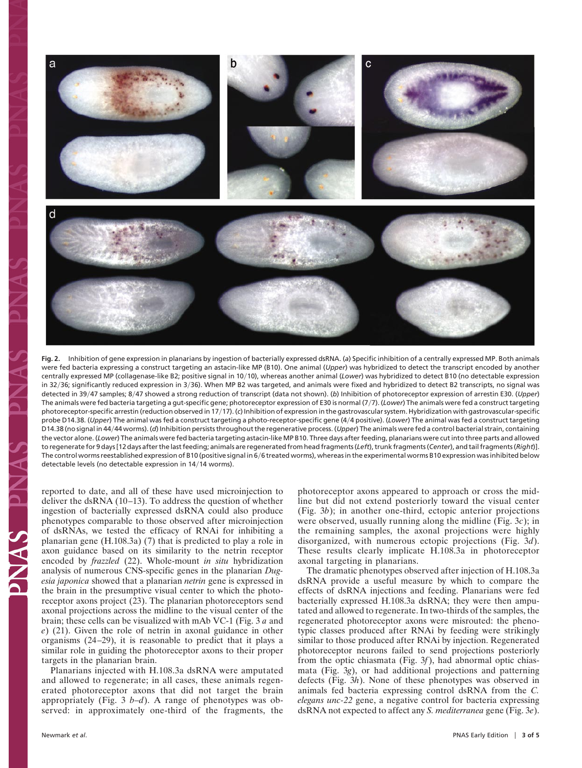

**Fig. 2.** Inhibition of gene expression in planarians by ingestion of bacterially expressed dsRNA. (*a*) Specific inhibition of a centrally expressed MP. Both animals were fed bacteria expressing a construct targeting an astacin-like MP (B10). One animal (*Upper*) was hybridized to detect the transcript encoded by another centrally expressed MP (collagenase-like B2; positive signal in 10/10), whereas another animal (Lower) was hybridized to detect B10 (no detectable expression in 32/36; significantly reduced expression in 3/36). When MP B2 was targeted, and animals were fixed and hybridized to detect B2 transcripts, no signal was detected in 39y47 samples; 8y47 showed a strong reduction of transcript (data not shown). (*b*) Inhibition of photoreceptor expression of arrestin E30. (*Upper*) The animals were fed bacteria targeting a gut-specific gene; photoreceptor expression of E30 is normal (7y7). (*Lower*) The animals were fed a construct targeting photoreceptor-specific arrestin (reduction observed in 17y17). (*c*) Inhibition of expression in the gastrovascular system. Hybridization with gastrovascular-specific probe D14.38. (*Upper*) The animal was fed a construct targeting a photo-receptor-specific gene (4y4 positive). (*Lower*) The animal was fed a construct targeting D14.38 (no signal in 44y44 worms). (*d*) Inhibition persists throughout the regenerative process. (*Upper*) The animals were fed a control bacterial strain, containing the vector alone. (*Lower*) The animals were fed bacteria targeting astacin-like MP B10. Three days after feeding, planarians were cut into three parts and allowed to regenerate for 9 days [12 days after the last feeding; animals are regenerated from head fragments (*Left*), trunk fragments (*Center*), and tail fragments (*Right*)]. The control worms reestablished expression of B10 (positive signal in 6/6 treated worms), whereas in the experimental worms B10 expression was inhibited below detectable levels (no detectable expression in 14/14 worms).

reported to date, and all of these have used microinjection to deliver the dsRNA (10–13). To address the question of whether ingestion of bacterially expressed dsRNA could also produce phenotypes comparable to those observed after microinjection of dsRNAs, we tested the efficacy of RNAi for inhibiting a planarian gene (H.108.3a) (7) that is predicted to play a role in axon guidance based on its similarity to the netrin receptor encoded by *frazzled* (22). Whole-mount *in situ* hybridization analysis of numerous CNS-specific genes in the planarian *Dugesia japonica* showed that a planarian *netrin* gene is expressed in the brain in the presumptive visual center to which the photoreceptor axons project (23). The planarian photoreceptors send axonal projections across the midline to the visual center of the brain; these cells can be visualized with mAb VC-1 (Fig. 3 *a* and *e*) (21). Given the role of netrin in axonal guidance in other organisms (24–29), it is reasonable to predict that it plays a similar role in guiding the photoreceptor axons to their proper targets in the planarian brain.

Planarians injected with H.108.3a dsRNA were amputated and allowed to regenerate; in all cases, these animals regenerated photoreceptor axons that did not target the brain appropriately (Fig. 3 *b*–*d*). A range of phenotypes was observed: in approximately one-third of the fragments, the

photoreceptor axons appeared to approach or cross the midline but did not extend posteriorly toward the visual center (Fig. 3*b*); in another one-third, ectopic anterior projections were observed, usually running along the midline (Fig. 3*c*); in the remaining samples, the axonal projections were highly disorganized, with numerous ectopic projections (Fig. 3*d*). These results clearly implicate H.108.3a in photoreceptor axonal targeting in planarians.

The dramatic phenotypes observed after injection of H.108.3a dsRNA provide a useful measure by which to compare the effects of dsRNA injections and feeding. Planarians were fed bacterially expressed H.108.3a dsRNA; they were then amputated and allowed to regenerate. In two-thirds of the samples, the regenerated photoreceptor axons were misrouted: the phenotypic classes produced after RNAi by feeding were strikingly similar to those produced after RNAi by injection. Regenerated photoreceptor neurons failed to send projections posteriorly from the optic chiasmata (Fig. 3*f*), had abnormal optic chiasmata (Fig. 3*g*), or had additional projections and patterning defects (Fig. 3*h*). None of these phenotypes was observed in animals fed bacteria expressing control dsRNA from the *C. elegans unc-22* gene, a negative control for bacteria expressing dsRNA not expected to affect any *S. mediterranea* gene (Fig. 3*e*).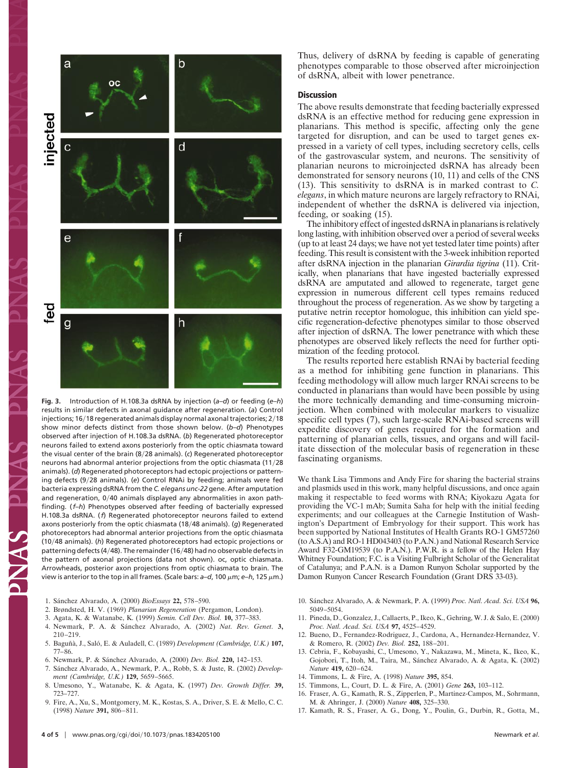

**Fig. 3.** Introduction of H.108.3a dsRNA by injection (*a*–*d*) or feeding (*e*–*h*) results in similar defects in axonal guidance after regeneration. (*a*) Control injections; 16/18 regenerated animals display normal axonal trajectories;  $2/18$ show minor defects distinct from those shown below. (*b*–*d*) Phenotypes observed after injection of H.108.3a dsRNA. (*b*) Regenerated photoreceptor neurons failed to extend axons posteriorly from the optic chiasmata toward the visual center of the brain (8/28 animals). (c) Regenerated photoreceptor neurons had abnormal anterior projections from the optic chiasmata (11/28 animals). (*d*) Regenerated photoreceptors had ectopic projections or patterning defects (9y28 animals). (*e*) Control RNAi by feeding; animals were fed bacteria expressing dsRNA from the *C. elegans unc-22* gene. After amputation and regeneration, 0/40 animals displayed any abnormalities in axon pathfinding. (*f*–*h*) Phenotypes observed after feeding of bacterially expressed H.108.3a dsRNA. (*f*) Regenerated photoreceptor neurons failed to extend axons posteriorly from the optic chiasmata (18y48 animals). (*g*) Regenerated photoreceptors had abnormal anterior projections from the optic chiasmata (10y48 animals). (*h*) Regenerated photoreceptors had ectopic projections or patterning defects (4/48). The remainder (16/48) had no observable defects in the pattern of axonal projections (data not shown). oc, optic chiasmata. Arrowheads, posterior axon projections from optic chiasmata to brain. The view is anterior to the top in all frames. (Scale bars:  $a-d$ , 100  $\mu$ m;  $e-h$ , 125  $\mu$ m.)

- 1. Sa´nchez Alvarado, A. (2000) *BioEssays* **22,** 578–590.
- 2. Brøndsted, H. V. (1969) *Planarian Regeneration* (Pergamon, London).
- 3. Agata, K. & Watanabe, K. (1999) *Semin. Cell Dev. Biol.* **10,** 377–383.
- 4. Newmark, P. A. & Sa´nchez Alvarado, A. (2002) *Nat. Rev. Genet.* **3,** 210–219.
- 5. Baguñà, J., Saló, E. & Auladell, C. (1989) *Development (Cambridge, U.K.)* 107, 77–86.
- 6. Newmark, P. & Sa´nchez Alvarado, A. (2000) *Dev. Biol.* **220,** 142–153.
- 7. Sa´nchez Alvarado, A., Newmark, P. A., Robb, S. & Juste, R. (2002) *Development (Cambridge, U.K.)* **129,** 5659–5665.
- 8. Umesono, Y., Watanabe, K. & Agata, K. (1997) *Dev. Growth Differ.* **39,** 723–727.
- 9. Fire, A., Xu, S., Montgomery, M. K., Kostas, S. A., Driver, S. E. & Mello, C. C. (1998) *Nature* **391,** 806–811.

Thus, delivery of dsRNA by feeding is capable of generating phenotypes comparable to those observed after microinjection of dsRNA, albeit with lower penetrance.

### **Discussion**

The above results demonstrate that feeding bacterially expressed dsRNA is an effective method for reducing gene expression in planarians. This method is specific, affecting only the gene targeted for disruption, and can be used to target genes expressed in a variety of cell types, including secretory cells, cells of the gastrovascular system, and neurons. The sensitivity of planarian neurons to microinjected dsRNA has already been demonstrated for sensory neurons (10, 11) and cells of the CNS (13). This sensitivity to dsRNA is in marked contrast to *C. elegans*, in which mature neurons are largely refractory to RNAi, independent of whether the dsRNA is delivered via injection, feeding, or soaking (15).

The inhibitory effect of ingested dsRNA in planarians is relatively long lasting, with inhibition observed over a period of several weeks (up to at least 24 days; we have not yet tested later time points) after feeding. This result is consistent with the 3-week inhibition reported after dsRNA injection in the planarian *Girardia tigrina* (11). Critically, when planarians that have ingested bacterially expressed dsRNA are amputated and allowed to regenerate, target gene expression in numerous different cell types remains reduced throughout the process of regeneration. As we show by targeting a putative netrin receptor homologue, this inhibition can yield specific regeneration-defective phenotypes similar to those observed after injection of dsRNA. The lower penetrance with which these phenotypes are observed likely reflects the need for further optimization of the feeding protocol.

The results reported here establish RNAi by bacterial feeding as a method for inhibiting gene function in planarians. This feeding methodology will allow much larger RNAi screens to be conducted in planarians than would have been possible by using the more technically demanding and time-consuming microinjection. When combined with molecular markers to visualize specific cell types (7), such large-scale RNAi-based screens will expedite discovery of genes required for the formation and patterning of planarian cells, tissues, and organs and will facilitate dissection of the molecular basis of regeneration in these fascinating organisms.

We thank Lisa Timmons and Andy Fire for sharing the bacterial strains and plasmids used in this work, many helpful discussions, and once again making it respectable to feed worms with RNA; Kiyokazu Agata for providing the VC-1 mAb; Sumita Saha for help with the initial feeding experiments; and our colleagues at the Carnegie Institution of Washington's Department of Embryology for their support. This work has been supported by National Institutes of Health Grants RO-1 GM57260 (to A.S.A) and RO-1 HD043403 (to P.A.N.) and National Research Service Award F32-GM19539 (to P.A.N.). P.W.R. is a fellow of the Helen Hay Whitney Foundation; F.C. is a Visiting Fulbright Scholar of the Generalitat of Catalunya; and P.A.N. is a Damon Runyon Scholar supported by the Damon Runyon Cancer Research Foundation (Grant DRS 33-03).

- 10. Sa´nchez Alvarado, A. & Newmark, P. A. (1999) *Proc. Natl. Acad. Sci. USA* **96,** 5049–5054.
- 11. Pineda, D., Gonzalez, J., Callaerts, P., Ikeo, K., Gehring, W. J. & Salo, E. (2000) *Proc. Natl. Acad. Sci. USA* **97,** 4525–4529.
- 12. Bueno, D., Fernandez-Rodriguez, J., Cardona, A., Hernandez-Hernandez, V. & Romero, R. (2002) *Dev. Biol.* **252,** 188–201.
- 13. Cebria, F., Kobayashi, C., Umesono, Y., Nakazawa, M., Mineta, K., Ikeo, K., Gojobori, T., Itoh, M., Taira, M., Sánchez Alvarado, A. & Agata, K. (2002) *Nature* **419,** 620–624.
- 14. Timmons, L. & Fire, A. (1998) *Nature* **395,** 854.
- 15. Timmons, L., Court, D. L. & Fire, A. (2001) *Gene* **263,** 103–112.
- 16. Fraser, A. G., Kamath, R. S., Zipperlen, P., Martinez-Campos, M., Sohrmann, M. & Ahringer, J. (2000) *Nature* **408,** 325–330.
- 17. Kamath, R. S., Fraser, A. G., Dong, Y., Poulin, G., Durbin, R., Gotta, M.,